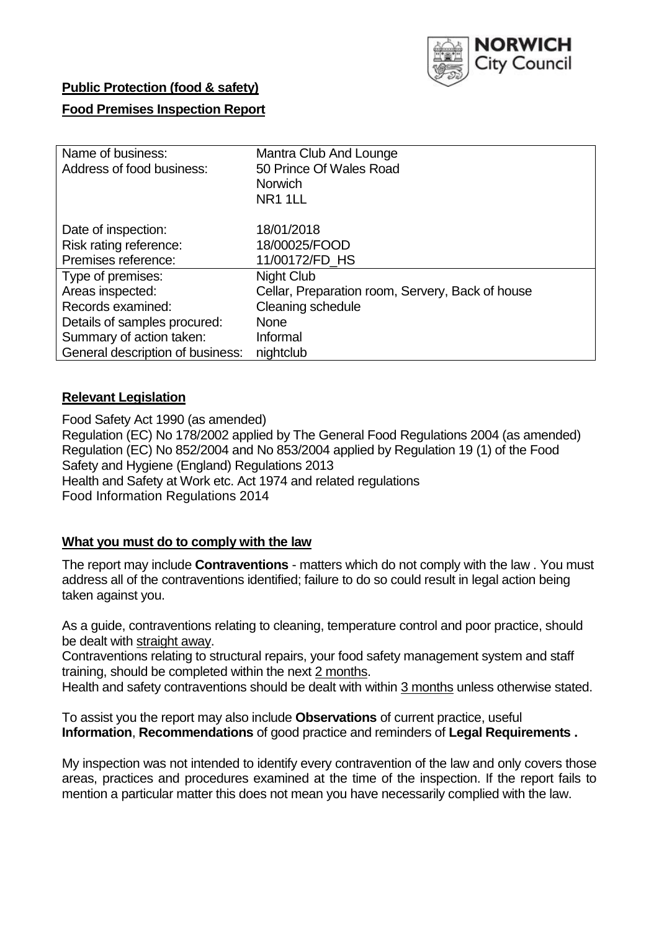

# **Public Protection (food & safety)**

### **Food Premises Inspection Report**

| Name of business:                | Mantra Club And Lounge                           |
|----------------------------------|--------------------------------------------------|
| Address of food business:        | 50 Prince Of Wales Road                          |
|                                  | <b>Norwich</b>                                   |
|                                  | NR <sub>1</sub> 1LL                              |
| Date of inspection:              | 18/01/2018                                       |
| Risk rating reference:           | 18/00025/FOOD                                    |
| Premises reference:              | 11/00172/FD HS                                   |
| Type of premises:                | Night Club                                       |
| Areas inspected:                 | Cellar, Preparation room, Servery, Back of house |
| Records examined:                | Cleaning schedule                                |
| Details of samples procured:     | <b>None</b>                                      |
| Summary of action taken:         | Informal                                         |
| General description of business: | nightclub                                        |

### **Relevant Legislation**

Food Safety Act 1990 (as amended) Regulation (EC) No 178/2002 applied by The General Food Regulations 2004 (as amended) Regulation (EC) No 852/2004 and No 853/2004 applied by Regulation 19 (1) of the Food Safety and Hygiene (England) Regulations 2013 Health and Safety at Work etc. Act 1974 and related regulations Food Information Regulations 2014

# **What you must do to comply with the law**

The report may include **Contraventions** - matters which do not comply with the law . You must address all of the contraventions identified; failure to do so could result in legal action being taken against you.

As a guide, contraventions relating to cleaning, temperature control and poor practice, should be dealt with straight away.

Contraventions relating to structural repairs, your food safety management system and staff training, should be completed within the next 2 months.

Health and safety contraventions should be dealt with within 3 months unless otherwise stated.

To assist you the report may also include **Observations** of current practice, useful **Information**, **Recommendations** of good practice and reminders of **Legal Requirements .**

My inspection was not intended to identify every contravention of the law and only covers those areas, practices and procedures examined at the time of the inspection. If the report fails to mention a particular matter this does not mean you have necessarily complied with the law.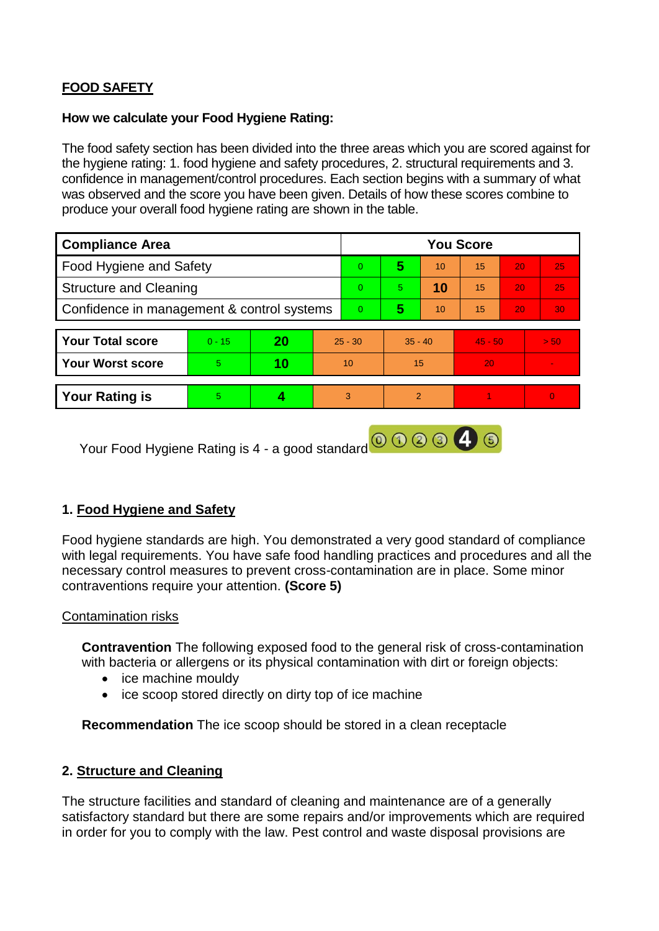# **FOOD SAFETY**

#### **How we calculate your Food Hygiene Rating:**

The food safety section has been divided into the three areas which you are scored against for the hygiene rating: 1. food hygiene and safety procedures, 2. structural requirements and 3. confidence in management/control procedures. Each section begins with a summary of what was observed and the score you have been given. Details of how these scores combine to produce your overall food hygiene rating are shown in the table.

| <b>Compliance Area</b>                     |          |           |    | <b>You Score</b> |                |    |                 |    |                |  |  |
|--------------------------------------------|----------|-----------|----|------------------|----------------|----|-----------------|----|----------------|--|--|
| Food Hygiene and Safety                    |          |           |    | $\overline{0}$   | 5              | 10 | 15              | 20 | 25             |  |  |
| <b>Structure and Cleaning</b>              |          |           |    | $\Omega$         | 5.             | 10 | 15 <sup>1</sup> | 20 | 25             |  |  |
| Confidence in management & control systems |          |           |    | $\overline{0}$   | 5              | 10 | 15              | 20 | 30             |  |  |
|                                            |          |           |    |                  |                |    |                 |    |                |  |  |
| <b>Your Total score</b>                    | $0 - 15$ | <b>20</b> |    | $25 - 30$        | $35 - 40$      |    | $45 - 50$       |    | > 50           |  |  |
| <b>Your Worst score</b>                    | 5        | 10        | 10 |                  | 15             |    | 20              |    |                |  |  |
|                                            |          |           |    |                  |                |    |                 |    |                |  |  |
| <b>Your Rating is</b>                      | 5        |           |    | 3                | $\overline{2}$ |    |                 |    | $\overline{0}$ |  |  |
|                                            |          |           |    |                  |                |    |                 |    |                |  |  |

Your Food Hygiene Rating is 4 - a good standard **@ 3 3 4 6** 

# **1. Food Hygiene and Safety**

Food hygiene standards are high. You demonstrated a very good standard of compliance with legal requirements. You have safe food handling practices and procedures and all the necessary control measures to prevent cross-contamination are in place. Some minor contraventions require your attention. **(Score 5)**

### Contamination risks

**Contravention** The following exposed food to the general risk of cross-contamination with bacteria or allergens or its physical contamination with dirt or foreign objects:

- ice machine mouldy
- ice scoop stored directly on dirty top of ice machine

**Recommendation** The ice scoop should be stored in a clean receptacle

### **2. Structure and Cleaning**

The structure facilities and standard of cleaning and maintenance are of a generally satisfactory standard but there are some repairs and/or improvements which are required in order for you to comply with the law. Pest control and waste disposal provisions are